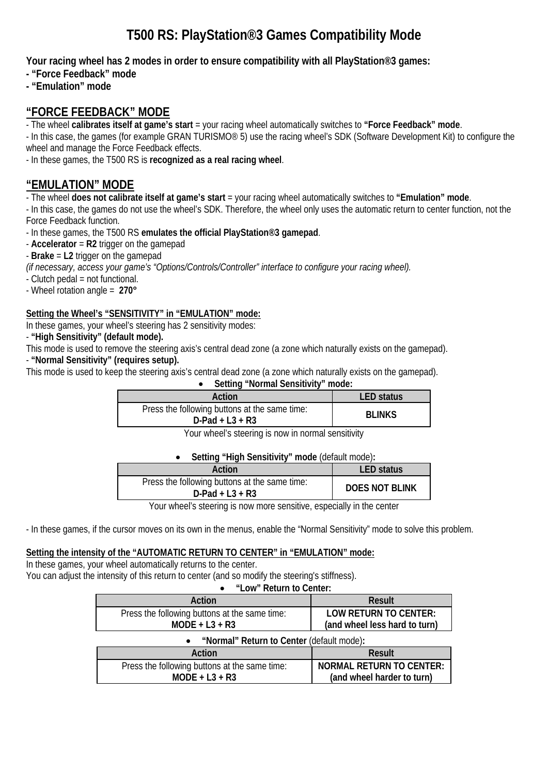# **T500 RS: PlayStation®3 Games Compatibility Mode**

**Your racing wheel has 2 modes in order to ensure compatibility with all PlayStation®3 games:**

- **"Force Feedback" mode**
- **"Emulation" mode**

## **"FORCE FEEDBACK" MODE**

- The wheel **calibrates itself at game's start** = your racing wheel automatically switches to **"Force Feedback" mode**.

- In this case, the games (for example GRAN TURISMO® 5) use the racing wheel's SDK (Software Development Kit) to configure the wheel and manage the Force Feedback effects.

- In these games, the T500 RS is **recognized as a real racing wheel**.

# **"EMULATION" MODE**

- The wheel **does not calibrate itself at game's start** = your racing wheel automatically switches to **"Emulation" mode**.

- In this case, the games do not use the wheel's SDK. Therefore, the wheel only uses the automatic return to center function, not the Force Feedback function.

- In these games, the T500 RS **emulates the official PlayStation®3 gamepad**.

- **Accelerator** = **R2** trigger on the gamepad

- **Brake** = **L2** trigger on the gamepad

*(if necessary, access your game's "Options/Controls/Controller" interface to configure your racing wheel).* 

- Clutch pedal = not functional.

- Wheel rotation angle = **270°**

### **Setting the Wheel's "SENSITIVITY" in "EMULATION" mode:**

In these games, your wheel's steering has 2 sensitivity modes:

- **"High Sensitivity" (default mode).**

This mode is used to remove the steering axis's central dead zone (a zone which naturally exists on the gamepad).

- **"Normal Sensitivity" (requires setup).**

This mode is used to keep the steering axis's central dead zone (a zone which naturally exists on the gamepad).

### • **Setting "Normal Sensitivity" mode:**

| Action                                                              | <b>LED</b> status |
|---------------------------------------------------------------------|-------------------|
| Press the following buttons at the same time:<br>$D$ -Pad + L3 + R3 | <b>BLINKS</b>     |

Your wheel's steering is now in normal sensitivity

#### • **Setting "High Sensitivity" mode** (default mode)**:**

| Action                                                              | LED status            |
|---------------------------------------------------------------------|-----------------------|
| Press the following buttons at the same time:<br>$D$ -Pad + L3 + R3 | <b>DOES NOT BLINK</b> |

Your wheel's steering is now more sensitive, especially in the center

- In these games, if the cursor moves on its own in the menus, enable the "Normal Sensitivity" mode to solve this problem.

### **Setting the intensity of the "AUTOMATIC RETURN TO CENTER" in "EMULATION" mode:**

**MODE + L3 + R3**

In these games, your wheel automatically returns to the center. You can adjust the intensity of this return to center (and so modify the steering's stiffness).

• **"Low" Return to Center:**

| LUW INJULIE LU UUIILUI.                       |                                 |  |
|-----------------------------------------------|---------------------------------|--|
| Action                                        | <b>Result</b>                   |  |
| Press the following buttons at the same time: | <b>LOW RETURN TO CENTER:</b>    |  |
| $MODE + L3 + R3$                              | (and wheel less hard to turn)   |  |
| "Normal" Return to Center (default mode):     |                                 |  |
| Action                                        | <b>Result</b>                   |  |
| Press the following buttons at the same time: | <b>NORMAL RETURN TO CENTER:</b> |  |

**(and wheel harder to turn)**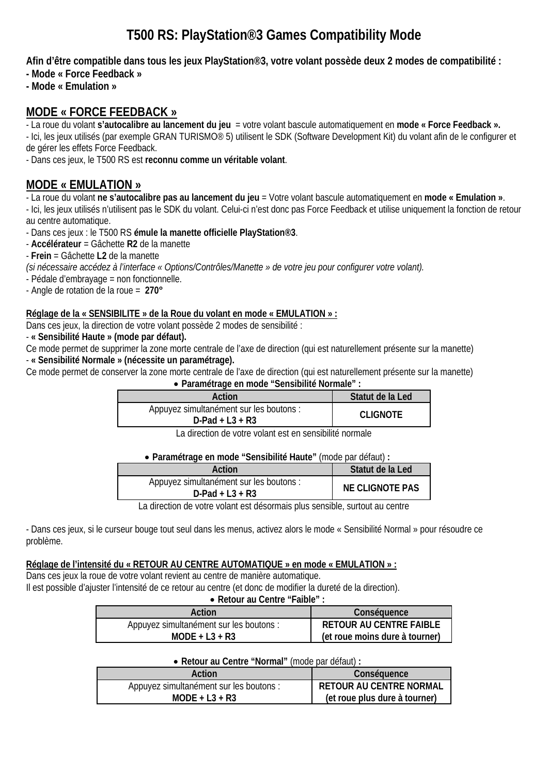# **T500 RS: PlayStation®3 Games Compatibility Mode**

**Afin d'être compatible dans tous les jeux PlayStation®3, votre volant possède deux 2 modes de compatibilité :** 

- **Mode « Force Feedback »**
- **Mode « Emulation »**

## **MODE « FORCE FEEDBACK »**

- La roue du volant **s'autocalibre au lancement du jeu** = votre volant bascule automatiquement en **mode « Force Feedback ».**

- Ici, les jeux utilisés (par exemple GRAN TURISMO® 5) utilisent le SDK (Software Development Kit) du volant afin de le configurer et de gérer les effets Force Feedback.

- Dans ces jeux, le T500 RS est **reconnu comme un véritable volant**.

# **MODE « EMULATION »**

- La roue du volant **ne s'autocalibre pas au lancement du jeu** = Votre volant bascule automatiquement en **mode « Emulation »**.

- Ici, les jeux utilisés n'utilisent pas le SDK du volant. Celui-ci n'est donc pas Force Feedback et utilise uniquement la fonction de retour au centre automatique.

- Dans ces jeux : le T500 RS **émule la manette officielle PlayStation®3**.

- **Accélérateur** = Gâchette **R2** de la manette
- **Frein** = Gâchette **L2** de la manette

*(si nécessaire accédez à l'interface « Options/Contrôles/Manette » de votre jeu pour configurer votre volant).*

- Pédale d'embrayage = non fonctionnelle.

- Angle de rotation de la roue = **270°**

### **Réglage de la « SENSIBILITE » de la Roue du volant en mode « EMULATION » :**

Dans ces jeux, la direction de votre volant possède 2 modes de sensibilité :

- **« Sensibilité Haute » (mode par défaut).**

- Ce mode permet de supprimer la zone morte centrale de l'axe de direction (qui est naturellement présente sur la manette)
- **« Sensibilité Normale » (nécessite un paramétrage).**

Ce mode permet de conserver la zone morte centrale de l'axe de direction (qui est naturellement présente sur la manette)

### • **Paramétrage en mode "Sensibilité Normale" :**

| Action                                                        | Statut de la Led |
|---------------------------------------------------------------|------------------|
| Appuyez simultanément sur les boutons :<br>$D$ -Pad + L3 + R3 | <b>CLIGNOTE</b>  |

La direction de votre volant est en sensibilité normale

#### • **Paramétrage en mode "Sensibilité Haute"** (mode par défaut) **:**

| Action                                                        | Statut de la Led       |
|---------------------------------------------------------------|------------------------|
| Appuyez simultanément sur les boutons :<br>$D$ -Pad + L3 + R3 | <b>NE CLIGNOTE PAS</b> |

La direction de votre volant est désormais plus sensible, surtout au centre

- Dans ces jeux, si le curseur bouge tout seul dans les menus, activez alors le mode « Sensibilité Normal » pour résoudre ce problème.

### **Réglage de l'intensité du « RETOUR AU CENTRE AUTOMATIQUE » en mode « EMULATION » :**

Dans ces jeux la roue de votre volant revient au centre de manière automatique. Il est possible d'ajuster l'intensité de ce retour au centre (et donc de modifier la dureté de la direction).

#### • **Retour au Centre "Faible" :**

| $\sim$ . The state of the state of the state of the state of the state of the state of the state of the state of the state of the state of the state of the state of the state of the state of the state of the state of the st |                                |
|---------------------------------------------------------------------------------------------------------------------------------------------------------------------------------------------------------------------------------|--------------------------------|
| Action                                                                                                                                                                                                                          | Conséquence                    |
| Appuyez simultanément sur les boutons :                                                                                                                                                                                         | <b>RETOUR AU CENTRE FAIBLE</b> |
| $MODE + L3 + R3$                                                                                                                                                                                                                | (et roue moins dure à tourner) |

#### • **Retour au Centre "Normal"** (mode par défaut) **:**

| Action                                  | Conséquence                    |
|-----------------------------------------|--------------------------------|
| Appuyez simultanément sur les boutons : | <b>RETOUR AU CENTRE NORMAL</b> |
| $MODE + L3 + R3$                        | (et roue plus dure à tourner)  |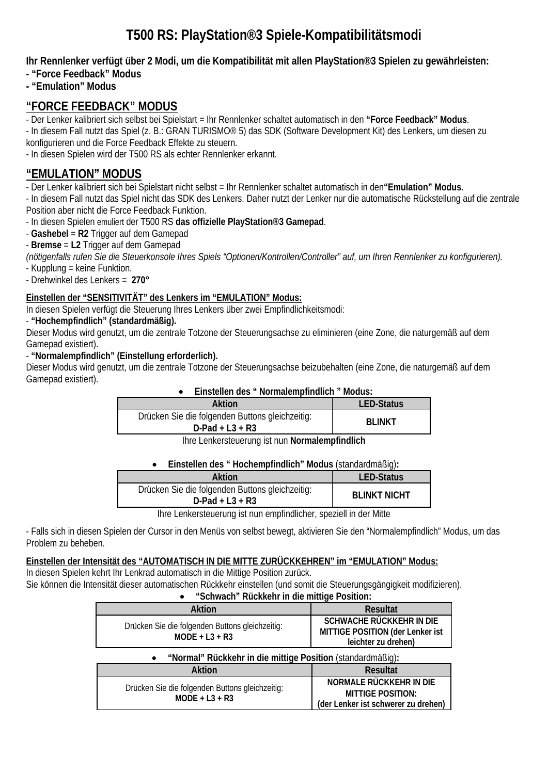# **T500 RS: PlayStation®3 Spiele-Kompatibilitätsmodi**

**Ihr Rennlenker verfügt über 2 Modi, um die Kompatibilität mit allen PlayStation®3 Spielen zu gewährleisten:** 

- **"Force Feedback" Modus**
- **"Emulation" Modus**

## **"FORCE FEEDBACK" MODUS**

- Der Lenker kalibriert sich selbst bei Spielstart = Ihr Rennlenker schaltet automatisch in den **"Force Feedback" Modus**.

- In diesem Fall nutzt das Spiel (z. B.: GRAN TURISMO® 5) das SDK (Software Development Kit) des Lenkers, um diesen zu konfigurieren und die Force Feedback Effekte zu steuern.

- In diesen Spielen wird der T500 RS als echter Rennlenker erkannt.

# **"EMULATION" MODUS**

- Der Lenker kalibriert sich bei Spielstart nicht selbst = Ihr Rennlenker schaltet automatisch in den**"Emulation" Modus**.

- In diesem Fall nutzt das Spiel nicht das SDK des Lenkers. Daher nutzt der Lenker nur die automatische Rückstellung auf die zentrale Position aber nicht die Force Feedback Funktion.

- In diesen Spielen emuliert der T500 RS **das offizielle PlayStation®3 Gamepad**.

- **Gashebel** = **R2** Trigger auf dem Gamepad
- **Bremse** = **L2** Trigger auf dem Gamepad

*(nötigenfalls rufen Sie die Steuerkonsole Ihres Spiels "Optionen/Kontrollen/Controller" auf, um Ihren Rennlenker zu konfigurieren).*  - Kupplung = keine Funktion.

- Drehwinkel des Lenkers = **270°**

### **Einstellen der "SENSITIVITÄT" des Lenkers im "EMULATION" Modus:**

In diesen Spielen verfügt die Steuerung Ihres Lenkers über zwei Empfindlichkeitsmodi:

- **"Hochempfindlich" (standardmäßig).**

Dieser Modus wird genutzt, um die zentrale Totzone der Steuerungsachse zu eliminieren (eine Zone, die naturgemäß auf dem Gamepad existiert).

### - **"Normalempfindlich" (Einstellung erforderlich).**

Dieser Modus wird genutzt, um die zentrale Totzone der Steuerungsachse beizubehalten (eine Zone, die naturgemäß auf dem Gamepad existiert).

### • **Einstellen des " Normalempfindlich " Modus:**

| Aktion                                                                | <b>LED-Status</b> |
|-----------------------------------------------------------------------|-------------------|
| Drücken Sie die folgenden Buttons gleichzeitig:<br>$D$ -Pad + L3 + R3 | <b>BI INKT</b>    |

Ihre Lenkersteuerung ist nun **Normalempfindlich**

• **Einstellen des " Hochempfindlich" Modus** (standardmäßig)**:** 

| Aktion                                                                | <b>LED-Status</b>   |
|-----------------------------------------------------------------------|---------------------|
| Drücken Sie die folgenden Buttons gleichzeitig:<br>$D$ -Pad + L3 + R3 | <b>BLINKT NICHT</b> |
| lbro Lonkarstouerung ist nun empfindlicher speziall in der Mitto      |                     |

Ihre Lenkersteuerung ist nun empfindlicher, speziell in der Mitte

- Falls sich in diesen Spielen der Cursor in den Menüs von selbst bewegt, aktivieren Sie den "Normalempfindlich" Modus, um das Problem zu beheben.

### **Einstellen der Intensität des "AUTOMATISCH IN DIE MITTE ZURÜCKKEHREN" im "EMULATION" Modus:**

In diesen Spielen kehrt Ihr Lenkrad automatisch in die Mittige Position zurück. Sie können die Intensität dieser automatischen Rückkehr einstellen (und somit die Steuerungsgängigkeit modifizieren).

| "Schwach" Rückkehr in die mittige Position:                         |                                                                                     |  |
|---------------------------------------------------------------------|-------------------------------------------------------------------------------------|--|
| <b>Aktion</b>                                                       | <b>Resultat</b>                                                                     |  |
| Drücken Sie die folgenden Buttons gleichzeitig:<br>$MODE + L3 + R3$ | SCHWACHE RÜCKKEHR IN DIE<br>MITTIGE POSITION (der Lenker ist<br>leichter zu drehen) |  |
| "Normal" Rückkehr in die mittige Position (standardmäßig):          |                                                                                     |  |
|                                                                     |                                                                                     |  |
| Aktion                                                              | <b>Resultat</b>                                                                     |  |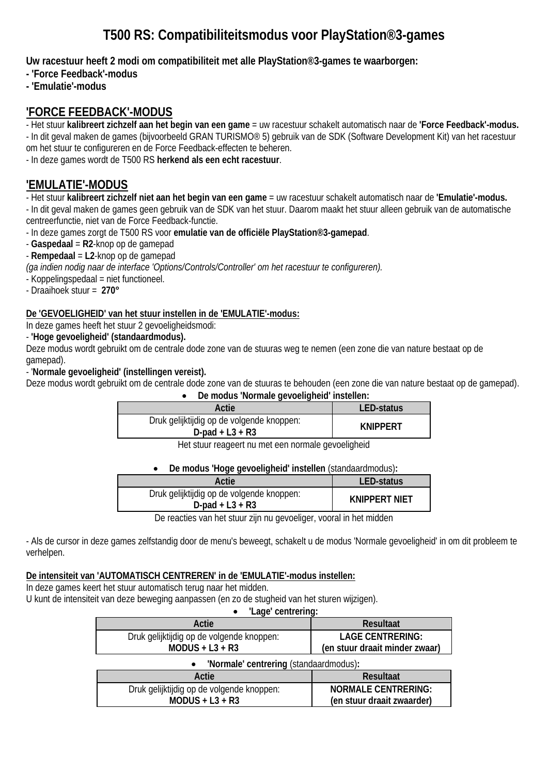# **T500 RS: Compatibiliteitsmodus voor PlayStation®3-games**

**Uw racestuur heeft 2 modi om compatibiliteit met alle PlayStation®3-games te waarborgen:**

**- 'Force Feedback'-modus**

**- 'Emulatie'-modus**

## **'FORCE FEEDBACK'-MODUS**

- Het stuur **kalibreert zichzelf aan het begin van een game** = uw racestuur schakelt automatisch naar de **'Force Feedback'-modus.** - In dit geval maken de games (bijvoorbeeld GRAN TURISMO® 5) gebruik van de SDK (Software Development Kit) van het racestuur

om het stuur te configureren en de Force Feedback-effecten te beheren.

- In deze games wordt de T500 RS **herkend als een echt racestuur**.

# **'EMULATIE'-MODUS**

- Het stuur **kalibreert zichzelf niet aan het begin van een game** = uw racestuur schakelt automatisch naar de **'Emulatie'-modus.**

- In dit geval maken de games geen gebruik van de SDK van het stuur. Daarom maakt het stuur alleen gebruik van de automatische centreerfunctie, niet van de Force Feedback-functie.

- In deze games zorgt de T500 RS voor **emulatie van de officiële PlayStation®3-gamepad**.

- **Gaspedaal** = **R2**-knop op de gamepad

- **Rempedaal** = **L2**-knop op de gamepad

*(ga indien nodig naar de interface 'Options/Controls/Controller' om het racestuur te configureren).* 

- Koppelingspedaal = niet functioneel.

- Draaihoek stuur = **270°**

#### **De 'GEVOELIGHEID' van het stuur instellen in de 'EMULATIE'-modus:**

In deze games heeft het stuur 2 gevoeligheidsmodi:

- **'Hoge gevoeligheid' (standaardmodus).**

Deze modus wordt gebruikt om de centrale dode zone van de stuuras weg te nemen (een zone die van nature bestaat op de gamepad).

- '**Normale gevoeligheid' (instellingen vereist).**

Deze modus wordt gebruikt om de centrale dode zone van de stuuras te behouden (een zone die van nature bestaat op de gamepad).

|  | De modus 'Normale gevoeligheid' instellen: |  |
|--|--------------------------------------------|--|
|--|--------------------------------------------|--|

| Actie                                                          | <b>LED-status</b> |
|----------------------------------------------------------------|-------------------|
| Druk gelijktijdig op de volgende knoppen:<br>D-pad + $L3 + R3$ | <b>KNIPPERT</b>   |
|                                                                |                   |

Het stuur reageert nu met een normale gevoeligheid

• **De modus 'Hoge gevoeligheid' instellen** (standaardmodus)**:** 

| Actie                                                           | <b>LED-status</b>    |
|-----------------------------------------------------------------|----------------------|
| Druk gelijktijdig op de volgende knoppen:<br>$D$ -pad + L3 + R3 | <b>KNIPPERT NIFT</b> |
|                                                                 |                      |

De reacties van het stuur zijn nu gevoeliger, vooral in het midden

- Als de cursor in deze games zelfstandig door de menu's beweegt, schakelt u de modus 'Normale gevoeligheid' in om dit probleem te verhelpen.

#### **De intensiteit van 'AUTOMATISCH CENTREREN' in de 'EMULATIE'-modus instellen:**

In deze games keert het stuur automatisch terug naar het midden.

U kunt de intensiteit van deze beweging aanpassen (en zo de stugheid van het sturen wijzigen).

| 'Lage' centrering:                                  |                                |  |
|-----------------------------------------------------|--------------------------------|--|
| Actie                                               | <b>Resultaat</b>               |  |
| Druk gelijktijdig op de volgende knoppen:           | <b>LAGE CENTRERING:</b>        |  |
| $MODUS + L3 + R3$                                   | (en stuur draait minder zwaar) |  |
| 'Normale' centrering (standaardmodus):<br>$\bullet$ |                                |  |
| Actie                                               | <b>Resultaat</b>               |  |
| Druk gelijktijdig op de volgende knoppen:           | <b>NORMALE CENTRERING:</b>     |  |
| $MODUS + L3 + R3$                                   | (en stuur draait zwaarder)     |  |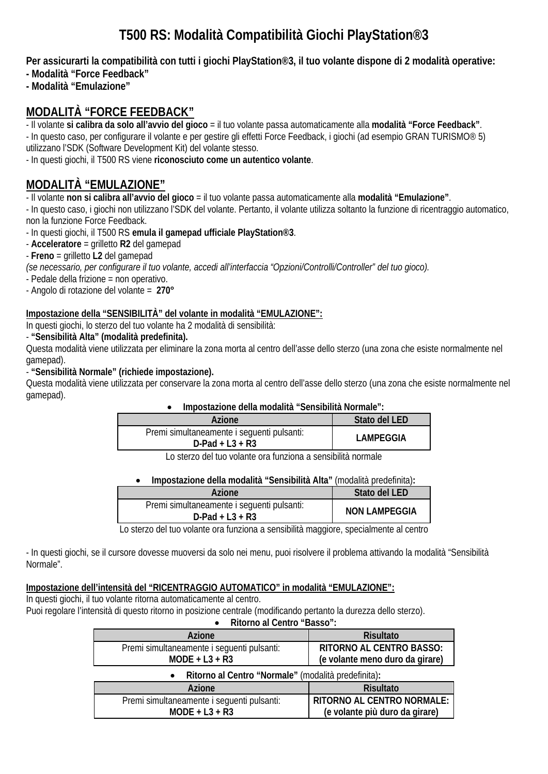# **T500 RS: Modalità Compatibilità Giochi PlayStation®3**

**Per assicurarti la compatibilità con tutti i giochi PlayStation®3, il tuo volante dispone di 2 modalità operative:** 

- **Modalità "Force Feedback"**
- **Modalità "Emulazione"**

# **MODALITÀ "FORCE FEEDBACK"**

- Il volante **si calibra da solo all'avvio del gioco** = il tuo volante passa automaticamente alla **modalità "Force Feedback"**.

- In questo caso, per configurare il volante e per gestire gli effetti Force Feedback, i giochi (ad esempio GRAN TURISMO® 5) utilizzano l'SDK (Software Development Kit) del volante stesso.

- In questi giochi, il T500 RS viene **riconosciuto come un autentico volante**.

# **MODALITÀ "EMULAZIONE"**

- Il volante **non si calibra all'avvio del gioco** = il tuo volante passa automaticamente alla **modalità "Emulazione"**.

- In questo caso, i giochi non utilizzano l'SDK del volante. Pertanto, il volante utilizza soltanto la funzione di ricentraggio automatico, non la funzione Force Feedback.

- In questi giochi, il T500 RS **emula il gamepad ufficiale PlayStation®3**.

- **Acceleratore** = grilletto **R2** del gamepad

- **Freno** = grilletto **L2** del gamepad

*(se necessario, per configurare il tuo volante, accedi all'interfaccia "Opzioni/Controlli/Controller" del tuo gioco).* 

- Pedale della frizione = non operativo.

- Angolo di rotazione del volante = **270°**

### **Impostazione della "SENSIBILITÀ" del volante in modalità "EMULAZIONE":**

In questi giochi, lo sterzo del tuo volante ha 2 modalità di sensibilità:

- **"Sensibilità Alta" (modalità predefinita).**

Questa modalità viene utilizzata per eliminare la zona morta al centro dell'asse dello sterzo (una zona che esiste normalmente nel gamepad).

- **"Sensibilità Normale" (richiede impostazione).**

Questa modalità viene utilizzata per conservare la zona morta al centro dell'asse dello sterzo (una zona che esiste normalmente nel gamepad).

#### • **Impostazione della modalità "Sensibilità Normale":**

| Azione                                                           | Stato del LED    |
|------------------------------------------------------------------|------------------|
| Premi simultaneamente i seguenti pulsanti:<br>$D$ -Pad + L3 + R3 | <b>LAMPEGGIA</b> |

Lo sterzo del tuo volante ora funziona a sensibilità normale

### • **Impostazione della modalità "Sensibilità Alta"** (modalità predefinita)**:**

| Azione                                                           | Stato del LED        |
|------------------------------------------------------------------|----------------------|
| Premi simultaneamente i sequenti pulsanti:<br>$D$ -Pad + L3 + R3 | <b>NON LAMPEGGIA</b> |

Lo sterzo del tuo volante ora funziona a sensibilità maggiore, specialmente al centro

- In questi giochi, se il cursore dovesse muoversi da solo nei menu, puoi risolvere il problema attivando la modalità "Sensibilità Normale".

### **Impostazione dell'intensità del "RICENTRAGGIO AUTOMATICO" in modalità "EMULAZIONE":**

In questi giochi, il tuo volante ritorna automaticamente al centro.

Puoi regolare l'intensità di questo ritorno in posizione centrale (modificando pertanto la durezza dello sterzo).

• **Ritorno al Centro "Basso":** 

| Azione                                                           | <b>Risultato</b>                  |  |
|------------------------------------------------------------------|-----------------------------------|--|
| Premi simultaneamente i seguenti pulsanti:                       | RITORNO AL CENTRO BASSO:          |  |
| $MODE + L3 + R3$                                                 | (e volante meno duro da girare)   |  |
| Ritorno al Centro "Normale" (modalità predefinita):<br>$\bullet$ |                                   |  |
| Azione                                                           | <b>Risultato</b>                  |  |
| Premi simultaneamente i seguenti pulsanti:                       | <b>RITORNO AL CENTRO NORMALE:</b> |  |
| $MODE + L3 + R3$                                                 | (e volante più duro da girare)    |  |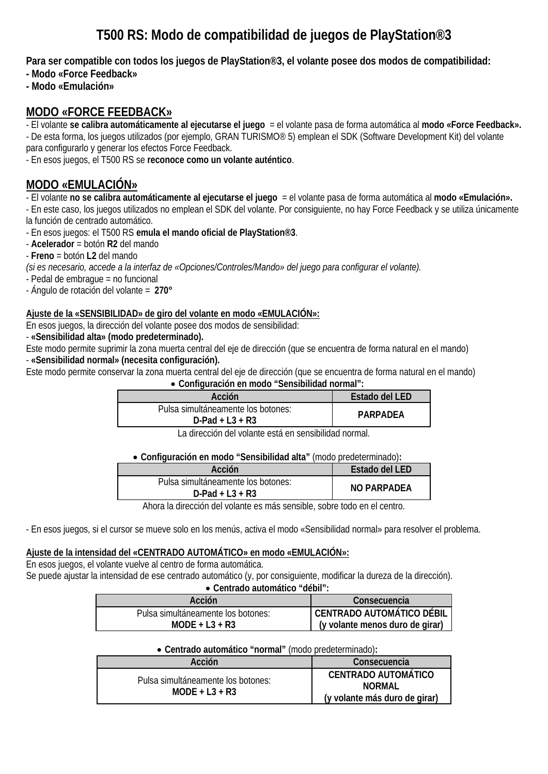# **T500 RS: Modo de compatibilidad de juegos de PlayStation®3**

**Para ser compatible con todos los juegos de PlayStation®3, el volante posee dos modos de compatibilidad:**

- **Modo «Force Feedback»**
- **Modo «Emulación»**

## **MODO «FORCE FEEDBACK»**

- El volante **se calibra automáticamente al ejecutarse el juego** = el volante pasa de forma automática al **modo «Force Feedback».** - De esta forma, los juegos utilizados (por ejemplo, GRAN TURISMO® 5) emplean el SDK (Software Development Kit) del volante para configurarlo y generar los efectos Force Feedback.

- En esos juegos, el T500 RS se **reconoce como un volante auténtico**.

# **MODO «EMULACIÓN»**

- El volante **no se calibra automáticamente al ejecutarse el juego** = el volante pasa de forma automática al **modo «Emulación».**

- En este caso, los juegos utilizados no emplean el SDK del volante. Por consiguiente, no hay Force Feedback y se utiliza únicamente la función de centrado automático.

- En esos juegos: el T500 RS **emula el mando oficial de PlayStation®3**.

- **Acelerador** = botón **R2** del mando

- **Freno** = botón **L2** del mando

*(si es necesario, accede a la interfaz de «Opciones/Controles/Mando» del juego para configurar el volante).*

- Pedal de embrague = no funcional

- Ángulo de rotación del volante = **270°**

### **Ajuste de la «SENSIBILIDAD» de giro del volante en modo «EMULACIÓN»:**

En esos juegos, la dirección del volante posee dos modos de sensibilidad:

- **«Sensibilidad alta» (modo predeterminado).**

Este modo permite suprimir la zona muerta central del eje de dirección (que se encuentra de forma natural en el mando)

- **«Sensibilidad normal» (necesita configuración).**

Este modo permite conservar la zona muerta central del eje de dirección (que se encuentra de forma natural en el mando)

#### • **Configuración en modo "Sensibilidad normal":**

| Acción                                                   | Estado del LED |
|----------------------------------------------------------|----------------|
| Pulsa simultáneamente los botones:<br>$D$ -Pad + L3 + R3 | PARPADEA       |

La dirección del volante está en sensibilidad normal.

#### • **Configuración en modo "Sensibilidad alta"** (modo predeterminado)**:**

| Acción                                                   | Estado del LED |
|----------------------------------------------------------|----------------|
| Pulsa simultáneamente los botones:<br>$D$ -Pad + L3 + R3 | NO PARPADEA    |

Ahora la dirección del volante es más sensible, sobre todo en el centro.

- En esos juegos, si el cursor se mueve solo en los menús, activa el modo «Sensibilidad normal» para resolver el problema.

### **Ajuste de la intensidad del «CENTRADO AUTOMÁTICO» en modo «EMULACIÓN»:**

En esos juegos, el volante vuelve al centro de forma automática. Se puede ajustar la intensidad de ese centrado automático (y, por consiguiente, modificar la dureza de la dirección). • **Centrado automático "débil":**

| $\bullet$ Centragge automatico debii : |                                 |
|----------------------------------------|---------------------------------|
| Acción                                 | Consecuencia                    |
| Pulsa simultáneamente los botones:     | CENTRADO AUTOMÁTICO DÉBIL       |
| $MODE + L3 + R3$                       | (y volante menos duro de girar) |

#### • **Centrado automático "normal"** (modo predeterminado)**:**

| Acción                                                 | Consecuencia                                                                 |
|--------------------------------------------------------|------------------------------------------------------------------------------|
| Pulsa simultáneamente los botones:<br>$MODE + L3 + R3$ | <b>CENTRADO AUTOMÁTICO</b><br><b>NORMAL</b><br>(y volante más duro de girar) |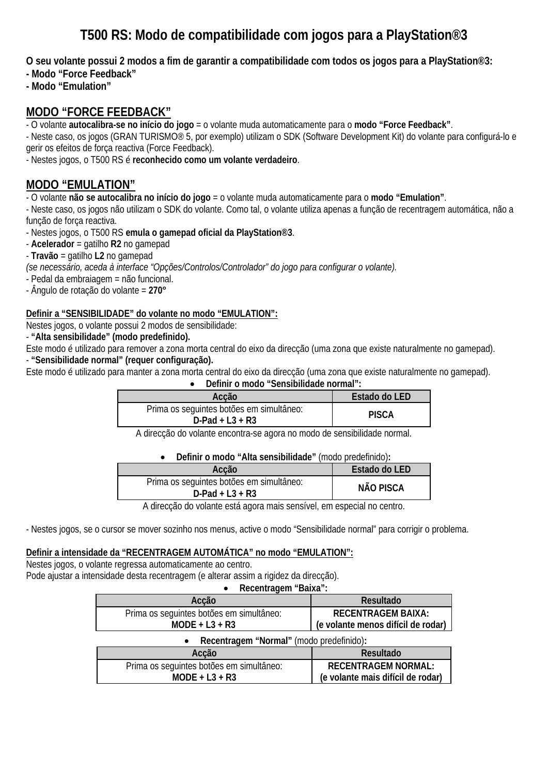# **T500 RS: Modo de compatibilidade com jogos para a PlayStation®3**

**O seu volante possui 2 modos a fim de garantir a compatibilidade com todos os jogos para a PlayStation®3:**

- **Modo "Force Feedback"**
- **Modo "Emulation"**

## **MODO "FORCE FEEDBACK"**

- O volante **autocalibra-se no início do jogo** = o volante muda automaticamente para o **modo "Force Feedback"**.

- Neste caso, os jogos (GRAN TURISMO® 5, por exemplo) utilizam o SDK (Software Development Kit) do volante para configurá-lo e gerir os efeitos de força reactiva (Force Feedback).

- Nestes jogos, o T500 RS é **reconhecido como um volante verdadeiro**.

# **MODO "EMULATION"**

- O volante **não se autocalibra no início do jogo** = o volante muda automaticamente para o **modo "Emulation"**.

- Neste caso, os jogos não utilizam o SDK do volante. Como tal, o volante utiliza apenas a função de recentragem automática, não a função de força reactiva.

- Nestes jogos, o T500 RS **emula o gamepad oficial da PlayStation®3**.

- **Acelerador** = gatilho **R2** no gamepad

- **Travão** = gatilho **L2** no gamepad

*(se necessário, aceda à interface "Opções/Controlos/Controlador" do jogo para configurar o volante).* 

- Pedal da embraiagem = não funcional.

- Ângulo de rotação do volante = **270°**

#### **Definir a "SENSIBILIDADE" do volante no modo "EMULATION":**

Nestes jogos, o volante possui 2 modos de sensibilidade:

- **"Alta sensibilidade" (modo predefinido).**

Este modo é utilizado para remover a zona morta central do eixo da direcção (uma zona que existe naturalmente no gamepad).

- **"Sensibilidade normal" (requer configuração).**

Este modo é utilizado para manter a zona morta central do eixo da direcção (uma zona que existe naturalmente no gamepad).

#### • **Definir o modo "Sensibilidade normal":**

| Acção                                                          | Estado do LED |
|----------------------------------------------------------------|---------------|
| Prima os seguintes botões em simultâneo:<br>$D$ -Pad + L3 + R3 | <b>PISCA</b>  |

A direcção do volante encontra-se agora no modo de sensibilidade normal.

#### • **Definir o modo "Alta sensibilidade"** (modo predefinido)**:**

| Acção                                                          | Estado do LED |
|----------------------------------------------------------------|---------------|
| Prima os seguintes botões em simultâneo:<br>$D$ -Pad + L3 + R3 | NÃO PISCA     |

A direcção do volante está agora mais sensível, em especial no centro.

- Nestes jogos, se o cursor se mover sozinho nos menus, active o modo "Sensibilidade normal" para corrigir o problema.

#### **Definir a intensidade da "RECENTRAGEM AUTOMÁTICA" no modo "EMULATION":**

Nestes jogos, o volante regressa automaticamente ao centro. Pode ajustar a intensidade desta recentragem (e alterar assim a rigidez da direcção).

• **Recentragem "Baixa":**

| Acção                                    | Resultado                          |  |
|------------------------------------------|------------------------------------|--|
| Prima os seguintes botões em simultâneo: | <b>RECENTRAGEM BAIXA:</b>          |  |
| $MODE + L3 + R3$                         | (e volante menos difícil de rodar) |  |
| Recentragem "Normal" (modo predefinido): |                                    |  |
| Acção                                    | Resultado                          |  |

| ACCdU                                    | <b>Resultado</b>                  |
|------------------------------------------|-----------------------------------|
| Prima os seguintes botões em simultâneo: | <b>RECENTRAGEM NORMAL:</b>        |
| $MODE + L3 + R3$                         | (e volante mais difícil de rodar) |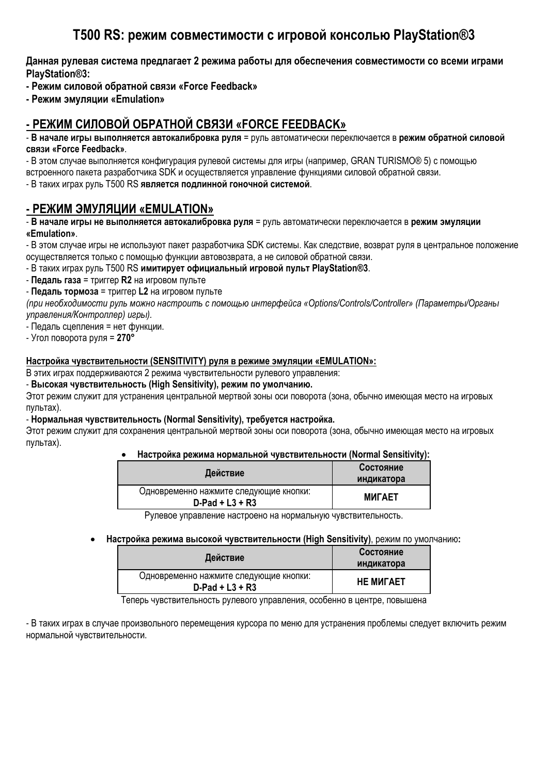# **T500 RS: режим совместимости с игровой консолью PlayStation®3**

**Данная рулевая система предлагает 2 режима работы для обеспечения совместимости со всеми играми PlayStation®3:**

**- Режим силовой обратной связи «Force Feedback»**

**- Режим эмуляции «Emulation»**

# **- РЕЖИМ СИЛОВОЙ ОБРАТНОЙ СВЯЗИ «FORCE FEEDBACK»**

- **В начале игры выполняется автокалибровка руля** = руль автоматически переключается в **режим обратной силовой связи «Force Feedback»**.

- В этом случае выполняется конфигурация рулевой системы для игры (например, GRAN TURISMO® 5) с помощью встроенного пакета разработчика SDK и осуществляется управление функциями силовой обратной связи.

- В таких играх руль T500 RS **является подлинной гоночной системой**.

### **- РЕЖИМ ЭМУЛЯЦИИ «EMULATION»**

- **В начале игры не выполняется автокалибровка руля** = руль автоматически переключается в **режим эмуляции «Emulation»**.

- В этом случае игры не используют пакет разработчика SDK системы. Как следствие, возврат руля в центральное положение осуществляется только с помощью функции автовозврата, а не силовой обратной связи.

- В таких играх руль T500 RS **имитирует официальный игровой пульт PlayStation®3**.

- **Педаль газа** = триггер **R2** на игровом пульте

- **Педаль тормоза** = триггер **L2** на игровом пульте

*(при необходимости руль можно настроить с помощью интерфейса «Options/Controls/Controller» (Параметры/Органы управления/Контроллер) игры).* 

- Педаль сцепления = нет функции.

- Угол поворота руля = **270°**

#### **Настройка чувствительности (SENSITIVITY) руля в режиме эмуляции «EMULATION»:**

В этих играх поддерживаются 2 режима чувствительности рулевого управления:

- **Высокая чувствительность (High Sensitivity), режим по умолчанию.**

Этот режим служит для устранения центральной мертвой зоны оси поворота (зона, обычно имеющая место на игровых пультах).

#### - **Нормальная чувствительность (Normal Sensitivity), требуется настройка.**

Этот режим служит для сохранения центральной мертвой зоны оси поворота (зона, обычно имеющая место на игровых пультах).

• **Настройка режима нормальной чувствительности (Normal Sensitivity):**

| Действие                                                     | Состояние<br>индикатора |
|--------------------------------------------------------------|-------------------------|
| Одновременно нажмите следующие кнопки:<br>$D$ -Pad + L3 + R3 | <b>MULAET</b>           |
| ∽                                                            |                         |

Рулевое управление настроено на нормальную чувствительность.

• **Настройка режима высокой чувствительности (High Sensitivity)**, режим по умолчанию**:** 

| Действие                                                     | Состояние        |
|--------------------------------------------------------------|------------------|
|                                                              | индикатора       |
| Одновременно нажмите следующие кнопки:<br>$D$ -Pad + L3 + R3 | <b>HE MUTAET</b> |

Теперь чувствительность рулевого управления, особенно в центре, повышена

- В таких играх в случае произвольного перемещения курсора по меню для устранения проблемы следует включить режим нормальной чувствительности.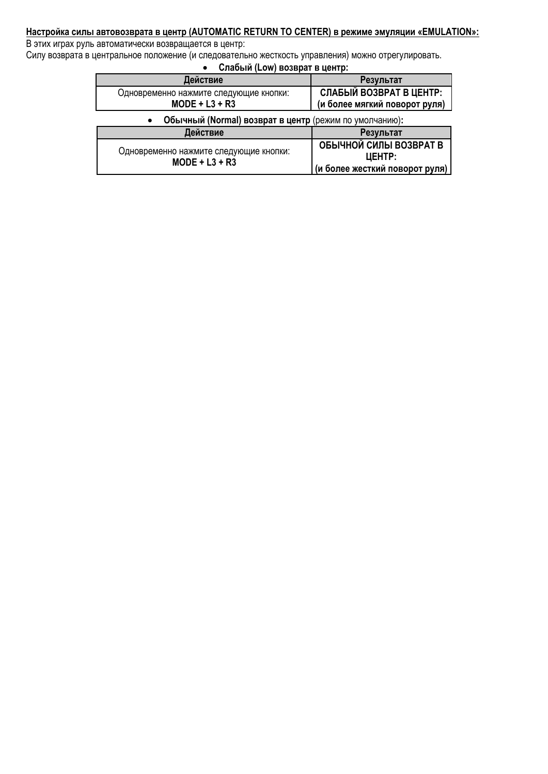#### **Настройка силы автовозврата в центр (AUTOMATIC RETURN TO CENTER) в режиме эмуляции «EMULATION»:**

В этих играх руль автоматически возвращается в центр:

Силу возврата в центральное положение (и следовательно жесткость управления) можно отрегулировать.

• **Слабый (Low) возврат в центр:**

| Действие                                                            | Результат                      |
|---------------------------------------------------------------------|--------------------------------|
| Одновременно нажмите следующие кнопки:                              | СЛАБЫЙ ВОЗВРАТ В ЦЕНТР:        |
| $MODE + L3 + R3$                                                    | (и более мягкий поворот руля)  |
| Обычный (Normal) возврат в центр (режим по умолчанию):<br>$\bullet$ |                                |
| Действие                                                            | Результат                      |
|                                                                     | ОБЫЧНОЙ СИЛЫ ВОЗВРАТ В         |
| Одновременно нажмите следующие кнопки:<br>$MODE + L3 + R3$          | <b>UEHTP:</b>                  |
|                                                                     | (и более жесткий поворот руля) |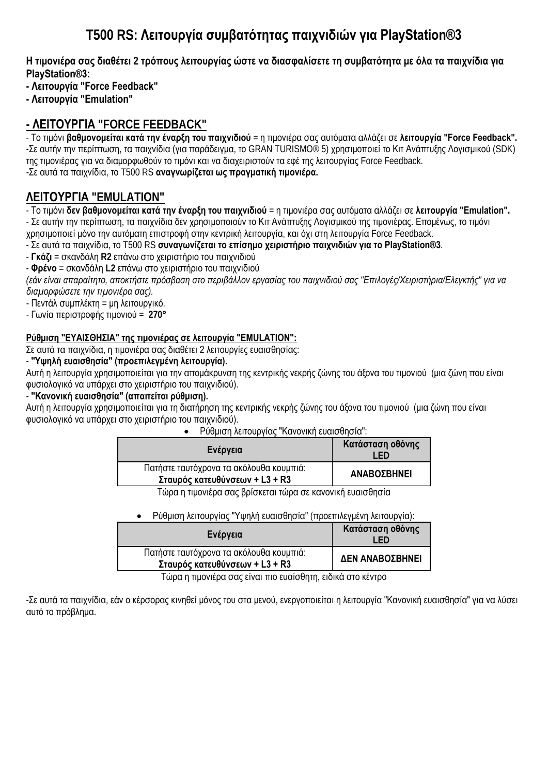# **T500 RS: Λειτουργία συμβατότητας παιχνιδιών για PlayStation®3**

Η τιμονιέρα σας διαθέτει 2 τρόπους λειτουργίας ώστε να διασφαλίσετε τη συμβατότητα με όλα τα παιχνίδια για **PlayStation®3:**

**- Λειτουργία "Force Feedback"** 

**- Λειτουργία "Emulation"** 

# **- ΛΕΙΤΟΥΡΓΙΑ "FORCE FEEDBACK"**

- Το τιμόνι **βαθμονομείται κατά την έναρξη του παιχνιδιού** = η τιμονιέρα σας αυτόματα αλλάζει σε **λειτουργία "Force Feedback".** -Σε αυτήν την περίπτωση, τα παιχνίδια (για παράδειγμα, το GRAN TURISMO® 5) χρησιμοποιεί το Κιτ Ανάπτυξης Λογισμικού (SDK) της τιμονιέρας για να διαμορφωθούν το τιμόνι και να διαχειριστούν τα εφέ της λειτουργίας Force Feedback. -Σε αυτά τα παιχνίδια, το T500 RS **αναγνωρίζεται ως πραγματική τιμονιέρα.**

# **ΛΕΙΤΟΥΡΓΙΑ "EMULATION"**

- Το τιμόνι **δεν βαθμονομείται κατά την έναρξη του παιχνιδιού** = η τιμονιέρα σας αυτόματα αλλάζει σε **λειτουργία "Emulation".**

- Σε αυτήν την περίπτωση, τα παιχνίδια δεν χρησιμοποιούν το Κιτ Ανάπτυξης Λογισμικού της τιμονιέρας. Επομένως, το τιμόνι χρησιμοποιεί μόνο την αυτόματη επιστροφή στην κεντρική λειτουργία, και όχι στη λειτουργία Force Feedback.

- Σε αυτά τα παιχνίδια, το T500 RS **συναγωνίζεται το επίσημο χειριστήριο παιχνιδιών για το PlayStation®3**.

- **Γκάζι** = σκανδάλη **R2** επάνω στο χειριστήριο του παιχνιδιού

- **Φρένο** = σκανδάλη **L2** επάνω στο χειριστήριο του παιχνιδιού

(εάν είναι απαραίτητο, αποκτήστε πρόσβαση στο περιβάλλον εργασίας του παιχνιδιού σας "Επιλογές/Χειριστήρια/Ελεγκτής" για να *διαμορφώσετε την τιμονιέρα σας).* 

- Πεντάλ συμπλέκτη = μη λειτουργικό.

- Γωνία περιστροφής τιμονιού = **270°**

### **Ρύθμιση "ΕΥΑΙΣΘΗΣΙΑ" της τιμονιέρας σε λειτουργία "EMULATION":**

Σε αυτά τα παιχνίδια, η τιμονιέρα σας διαθέτει 2 λειτουργίες ευαισθησίας:

- **"Υψηλή ευαισθησία" (προεπιλεγμένη λειτουργία).**

Αυτή η λειτουργία χρησιμοποιείται για την απομάκρυνση της κεντρικής νεκρής ζώνης του άξονα του τιμονιού (μια ζώνη που είναι φυσιολογικό να υπάρχει στο χειριστήριο του παιχνιδιού).

- **"Κανονική ευαισθησία" (απαιτείται ρύθμιση).**

Αυτή η λειτουργία χρησιμοποιείται για τη διατήρηση της κεντρικής νεκρής ζώνης του άξονα του τιμονιού (μια ζώνη που είναι φυσιολογικό να υπάρχει στο χειριστήριο του παιχνιδιού).

• Ρύθμιση λειτουργίας "Κανονική ευαισθησία":

| Ενέργεια                                                                  | Κατάσταση οθόνης<br>-ED |
|---------------------------------------------------------------------------|-------------------------|
| Πατήστε ταυτόχρονα τα ακόλουθα κουμπιά:<br>Σταυρός κατευθύνσεων + L3 + R3 | <b>ΑΝΑΒΟΣΒΗΝΕΙ</b>      |
|                                                                           |                         |

Τώρα η τιμονιέρα σας βρίσκεται τώρα σε κανονική ευαισθησία

### • Ρύθμιση λειτουργίας "Υψηλή ευαισθησία" (προεπιλεγμένη λειτουργία):

| Ενέργεια                                                                  | Κατάσταση οθόνης<br>I ED |
|---------------------------------------------------------------------------|--------------------------|
| Πατήστε ταυτόχρονα τα ακόλουθα κουμπιά:<br>Σταυρός κατευθύνσεων + L3 + R3 | ΔΕΝ ΑΝΑΒΟΣΒΗΝΕΙ          |

Τώρα η τιμονιέρα σας είναι πιο ευαίσθητη, ειδικά στο κέντρο

-Σε αυτά τα παιχνίδια, εάν ο κέρσορας κινηθεί μόνος του στα μενού, ενεργοποιείται η λειτουργία "Κανονική ευαισθησία" για να λύσει αυτό το πρόβλημα.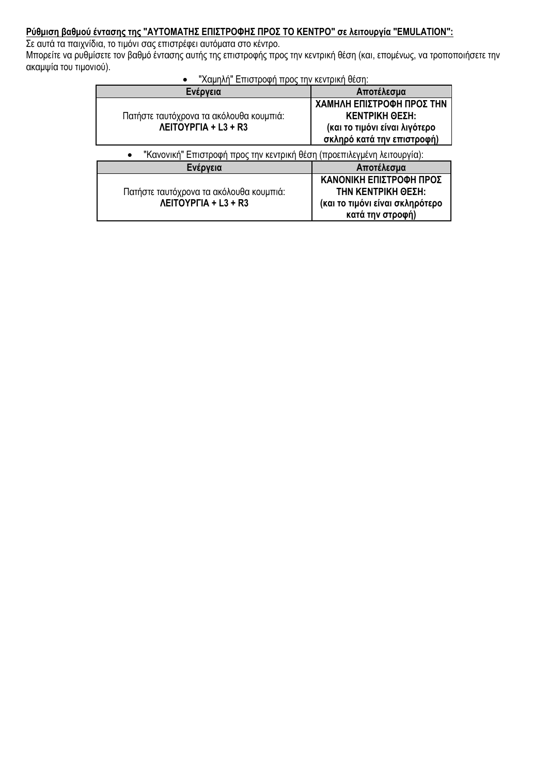### **Ρύθμιση βαθμού έντασης της "ΑΥΤΟΜΑΤΗΣ ΕΠΙΣΤΡΟΦΗΣ ΠΡΟΣ ΤΟ ΚΕΝΤΡΟ" σε λειτουργία "EMULATION":**

Σε αυτά τα παιχνίδια, το τιμόνι σας επιστρέφει αυτόματα στο κέντρο.

Μπορείτε να ρυθμίσετε τον βαθμό έντασης αυτής της επιστροφής προς την κεντρική θέση (και, επομένως, να τροποποιήσετε την ακαμψία του τιμονιού).

• "Χαμηλή" Επιστροφή προς την κεντρική θέση:

| Ενέργεια                                                                | Αποτέλεσμα                                                                                                  |
|-------------------------------------------------------------------------|-------------------------------------------------------------------------------------------------------------|
| Πατήστε ταυτόχρονα τα ακόλουθα κουμπιά:<br><b>ΛΕΙΤΟΥΡΓΙΑ + L3 + R3</b>  | ΧΑΜΗΛΗ ΕΠΙΣΤΡΟΦΗ ΠΡΟΣ ΤΗΝ<br>ΚΕΝΤΡΙΚΗ ΘΕΣΗ:<br>(και το τιμόνι είναι λιγότερο<br>σκληρό κατά την επιστροφή)  |
| "Κανονική" Επιστροφή προς την κεντρική θέση (προεπιλεγμένη λειτουργία): |                                                                                                             |
| Ενέργεια                                                                | Αποτέλεσμα                                                                                                  |
| Πατήστε ταυτόχρονα τα ακόλουθα κουμπιά:<br><b>ΛΕΙΤΟΥΡΓΙΑ + L3 + R3</b>  | ΚΑΝΟΝΙΚΗ ΕΠΙΣΤΡΟΦΗ ΠΡΟΣ<br><b>ΤΗΝ ΚΕΝΤΡΙΚΗ ΘΕΣΗ:</b><br>(και το τιμόνι είναι σκληρότερο<br>κατά την στροφή) |